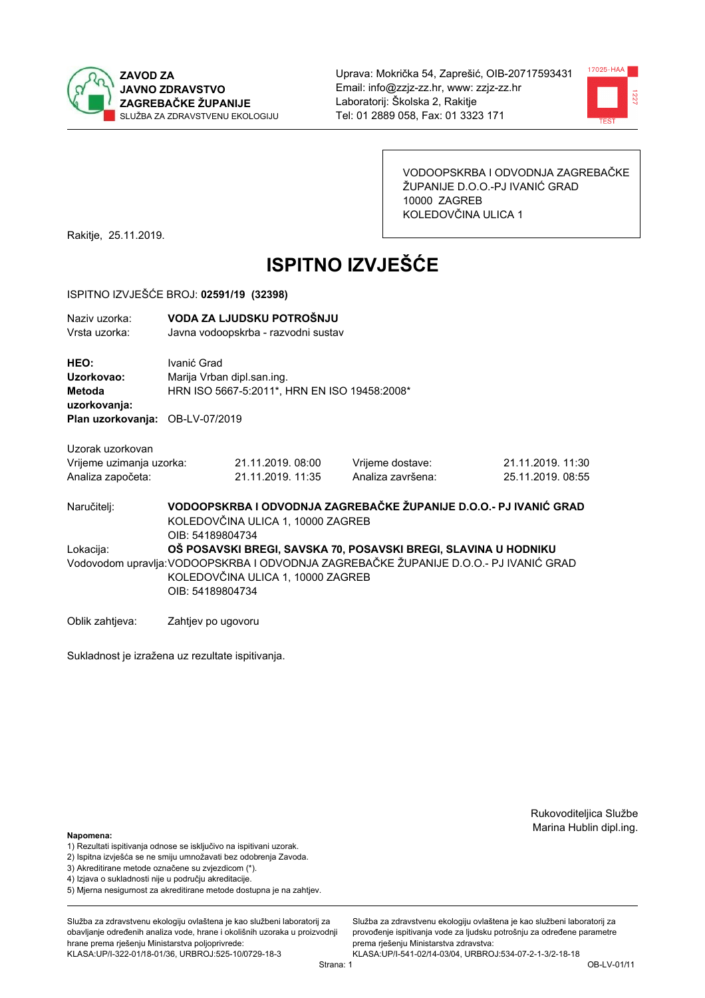



VODOOPSKRBA I ODVODNJA ZAGREBAČKE ŽUPANIJE D.O.O.-PJ IVANIĆ GRAD 10000 ZAGREB KOLEDOVČINA ULICA 1

Rakitje, 25.11.2019.

# **ISPITNO IZVJEŠĆE**

#### ISPITNO IZVJEŠĆE BROJ: 02591/19 (32398)

| Naziv uzorka:<br>Vrsta uzorka:                                    |                  | VODA ZA LJUDSKU POTROŠNJU<br>Javna vodoopskrba - razvodni sustav           |                                                                                                                                                         |                                                                   |  |  |
|-------------------------------------------------------------------|------------------|----------------------------------------------------------------------------|---------------------------------------------------------------------------------------------------------------------------------------------------------|-------------------------------------------------------------------|--|--|
| <b>HEO:</b><br>Uzorkovao:<br>Metoda<br>uzorkovanja:               | Ivanić Grad      | Marija Vrban dipl.san.ing.<br>HRN ISO 5667-5:2011*, HRN EN ISO 19458:2008* |                                                                                                                                                         |                                                                   |  |  |
| Plan uzorkovanja: OB-LV-07/2019                                   |                  |                                                                            |                                                                                                                                                         |                                                                   |  |  |
| Uzorak uzorkovan<br>Vrijeme uzimanja uzorka:<br>Analiza započeta: |                  | 21.11.2019. 08:00<br>21.11.2019. 11:35                                     | Vrijeme dostave:<br>Analiza završena:                                                                                                                   | 21.11.2019. 11:30<br>25.11.2019. 08:55                            |  |  |
| Naručitelj:                                                       | OIB: 54189804734 | KOLEDOVČINA ULICA 1, 10000 ZAGREB                                          |                                                                                                                                                         | VODOOPSKRBA I ODVODNJA ZAGREBAČKE ŽUPANIJE D.O.O.- PJ IVANIĆ GRAD |  |  |
| Lokacija:                                                         |                  | KOLEDOVČINA ULICA 1, 10000 ZAGREB                                          | OŠ POSAVSKI BREGI, SAVSKA 70, POSAVSKI BREGI, SLAVINA U HODNIKU<br>Vodovodom upravlja:VODOOPSKRBA I ODVODNJA ZAGREBAČKE ŽUPANIJE D.O.O.- PJ IVANIĆ GRAD |                                                                   |  |  |

OIB: 54189804734

Oblik zahtjeva: Zahtjev po ugovoru

Sukladnost je izražena uz rezultate ispitivanja.

Rukovoditeljica Službe Marina Hublin dipl.ing.

#### Napomena:

- 1) Rezultati ispitivanja odnose se isključivo na ispitivani uzorak.
- 2) Ispitna izvješća se ne smiju umnožavati bez odobrenja Zavoda.
- 3) Akreditirane metode označene su zvjezdicom (\*).
- 4) Iziava o sukladnosti nije u području akreditacije.
- 5) Mjerna nesigurnost za akreditirane metode dostupna je na zahtjev.

Služba za zdravstvenu ekologiju ovlaštena je kao službeni laboratorij za obavlianie određenih analiza vode, hrane i okolišnih uzoraka u proizvodniji hrane prema rješenju Ministarstva poljoprivrede: KLASA:UP/I-322-01/18-01/36, URBROJ:525-10/0729-18-3

Služba za zdravstvenu ekologiju ovlaštena je kao službeni laboratorij za provođenie ispitivania vode za liudsku potrošniu za određene parametre prema rješenju Ministarstva zdravstva:

KLASA:UP/I-541-02/14-03/04, URBROJ:534-07-2-1-3/2-18-18 Strana: 1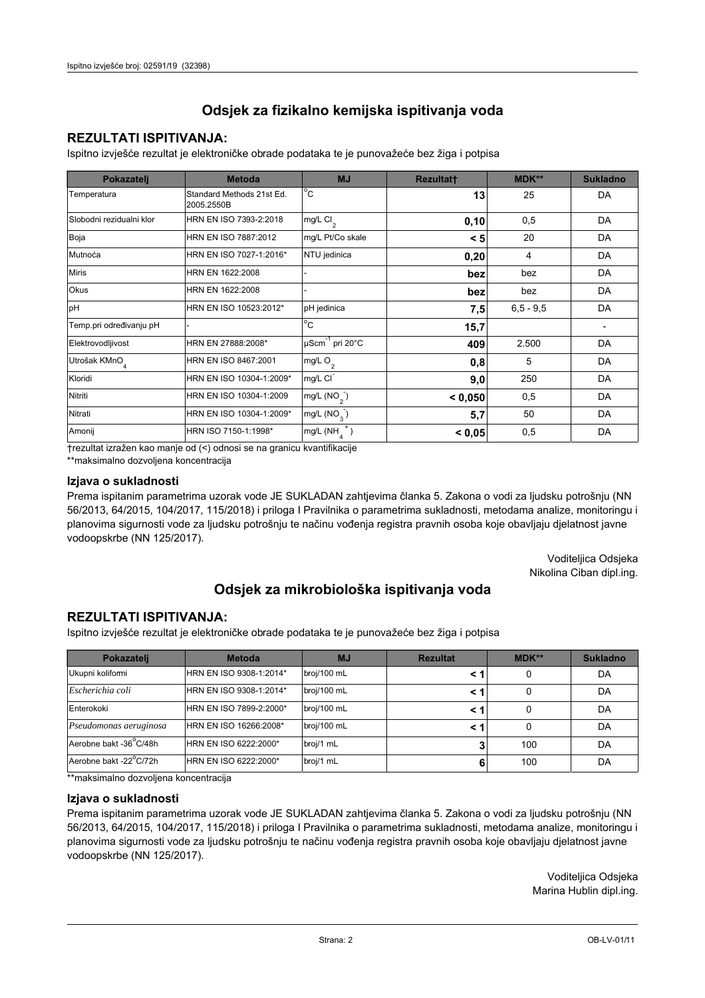# **REZULTATI ISPITIVANJA:**

Ispitno izviešće rezultat je elektroničke obrade podataka te je punovažeće bez žiga i potpisa

| Pokazatelj                | <b>Metoda</b>                           | <b>MJ</b>                   | <b>Rezultatt</b> | MDK**       | <b>Sukladno</b> |
|---------------------------|-----------------------------------------|-----------------------------|------------------|-------------|-----------------|
| Temperatura               | Standard Methods 21st Ed.<br>2005.2550B | $^{\circ}$ C                | 13               | 25          | DA              |
| Slobodni rezidualni klor  | HRN EN ISO 7393-2:2018                  | $mg/L$ Cl <sub>2</sub>      | 0,10             | 0,5         | DA              |
| Boja                      | HRN EN ISO 7887:2012                    | mg/L Pt/Co skale            | < 5              | 20          | DA              |
| Mutnoća                   | HRN EN ISO 7027-1:2016*                 | NTU jedinica                | 0,20             | 4           | DA              |
| <b>Miris</b>              | HRN EN 1622:2008                        |                             | bez              | bez         | DA              |
| Okus                      | HRN EN 1622:2008                        |                             | bez              | bez         | DA              |
| pH                        | HRN EN ISO 10523:2012*                  | pH jedinica                 | 7,5              | $6,5 - 9,5$ | DA              |
| Temp.pri određivanju pH   |                                         | $^{\circ}$ C                | 15,7             |             |                 |
| Elektrovodljivost         | HRN EN 27888:2008*                      | µScm <sup>-1</sup> pri 20°C | 409              | 2.500       | DA              |
| Utrošak KMnO <sub>4</sub> | HRN EN ISO 8467:2001                    | mg/L O <sub>2</sub>         | 0,8              | 5           | DA              |
| Kloridi                   | HRN EN ISO 10304-1:2009*                | mg/L CI                     | 9,0              | 250         | DA              |
| Nitriti                   | HRN EN ISO 10304-1:2009                 | mg/L (NO <sub>2</sub> )     | < 0,050          | 0,5         | DA              |
| Nitrati                   | HRN EN ISO 10304-1:2009*                | mg/L (NO <sub>3</sub> )     | 5,7              | 50          | DA              |
| Amonij                    | HRN ISO 7150-1:1998*                    | mg/L (NH                    | < 0.05           | 0,5         | DA              |

trezultat izražen kao manje od (<) odnosi se na granicu kvantifikacije

\*\*maksimalno dozvoljena koncentracija

## Izjava o sukladnosti

Prema ispitanim parametrima uzorak vode JE SUKLADAN zahtievima članka 5. Zakona o vodi za ljudsku potrošnju (NN 56/2013, 64/2015, 104/2017, 115/2018) i priloga I Pravilnika o parametrima sukladnosti, metodama analize, monitoringu i planovima sigurnosti vode za ljudsku potrošnju te načinu vođenja registra pravnih osoba koje obavljaju djelatnost javne vodoopskrbe (NN 125/2017).

> Voditeljica Odsjeka Nikolina Ciban dipl.ing.

# Odsjek za mikrobiološka ispitivanja voda

# **REZULTATI ISPITIVANJA:**

Ispitno izvješće rezultat je elektroničke obrade podataka te je punovažeće bez žiga i potpisa

| Pokazatelj             | <b>Metoda</b>           | <b>MJ</b>   | <b>Rezultat</b> | <b>MDK**</b> | <b>Sukladno</b> |
|------------------------|-------------------------|-------------|-----------------|--------------|-----------------|
| Ukupni kolifomi        | HRN EN ISO 9308-1:2014* | broj/100 mL |                 | 0            | DA              |
| Escherichia coli       | HRN EN ISO 9308-1:2014* | broj/100 mL | < 1             |              | DA              |
| Enterokoki             | HRN EN ISO 7899-2:2000* | broj/100 mL | < '             |              | DA              |
| Pseudomonas aeruginosa | HRN EN ISO 16266:2008*  | broj/100 mL | < 1             | 0            | DA              |
| Aerobne bakt -36 C/48h | HRN EN ISO 6222:2000*   | broj/1 mL   |                 | 100          | DA              |
| Aerobne bakt -22°C/72h | HRN EN ISO 6222:2000*   | broj/1 mL   | 6               | 100          | DA              |

\*\*maksimalno dozvoljena koncentracija

## Izjava o sukladnosti

Prema ispitanim parametrima uzorak vode JE SUKLADAN zahtjevima članka 5. Zakona o vodi za ljudsku potrošnju (NN 56/2013, 64/2015, 104/2017, 115/2018) i priloga I Pravilnika o parametrima sukladnosti, metodama analize, monitoringu i planovima sigurnosti vode za ljudsku potrošnju te načinu vođenja registra pravnih osoba koje obavljaju djelatnost javne vodoopskrbe (NN 125/2017).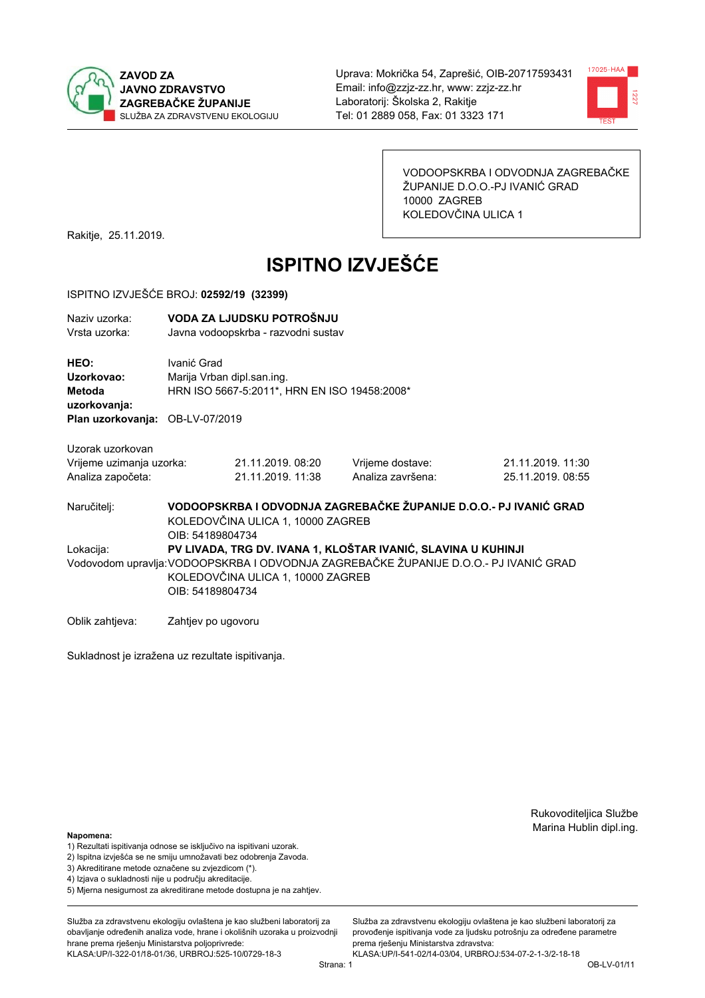



VODOOPSKRBA I ODVODNJA ZAGREBAČKE ŽUPANIJE D.O.O.-PJ IVANIĆ GRAD 10000 ZAGREB KOLEDOVČINA ULICA 1

Rakitje, 25.11.2019.

# **ISPITNO IZVJEŠĆE**

### ISPITNO IZVJEŠĆE BROJ: 02592/19 (32399)

| Naziv uzorka:<br>Vrsta uzorka:               |                    | VODA ZA LJUDSKU POTROŠNJU<br>Javna vodoopskrba - razvodni sustav           |                                                               |                                                                                       |  |  |
|----------------------------------------------|--------------------|----------------------------------------------------------------------------|---------------------------------------------------------------|---------------------------------------------------------------------------------------|--|--|
| HEO:<br>Uzorkovao:<br>Metoda<br>uzorkovanja: | Ivanić Grad        | Marija Vrban dipl.san.ing.<br>HRN ISO 5667-5:2011*, HRN EN ISO 19458:2008* |                                                               |                                                                                       |  |  |
| Plan uzorkovanja: OB-LV-07/2019              |                    |                                                                            |                                                               |                                                                                       |  |  |
| Uzorak uzorkovan                             |                    |                                                                            |                                                               |                                                                                       |  |  |
| Vrijeme uzimanja uzorka:                     |                    | 21.11.2019. 08:20                                                          | Vrijeme dostave:                                              | 21.11.2019. 11:30                                                                     |  |  |
| Analiza započeta:                            |                    | 21.11.2019. 11:38                                                          | Analiza završena:                                             | 25.11.2019. 08:55                                                                     |  |  |
| Naručitelj:                                  | OIB: 54189804734   | KOLEDOVČINA ULICA 1, 10000 ZAGREB                                          |                                                               | VODOOPSKRBA I ODVODNJA ZAGREBAČKE ŽUPANIJE D.O.O.- PJ IVANIĆ GRAD                     |  |  |
| Lokacija:                                    |                    |                                                                            | PV LIVADA, TRG DV. IVANA 1, KLOŠTAR IVANIĆ, SLAVINA U KUHINJI |                                                                                       |  |  |
|                                              | OIB: 54189804734   | KOLEDOVČINA ULICA 1, 10000 ZAGREB                                          |                                                               | Vodovodom upravlja: VODOOPSKRBA I ODVODNJA ZAGREBAČKE ŽUPANIJE D.O.O.- PJ IVANIĆ GRAD |  |  |
| Oblik zahtieva:                              | Zahtjev po ugovoru |                                                                            |                                                               |                                                                                       |  |  |

Sukladnost je izražena uz rezultate ispitivanja.

Rukovoditeljica Službe Marina Hublin dipl.ing.

#### Napomena:

- 1) Rezultati ispitivanja odnose se isključivo na ispitivani uzorak.
- 2) Ispitna izvješća se ne smiju umnožavati bez odobrenja Zavoda.
- 3) Akreditirane metode označene su zvjezdicom (\*).
- 4) Iziava o sukladnosti nije u području akreditacije.
- 5) Mjerna nesigurnost za akreditirane metode dostupna je na zahtjev.

Služba za zdravstvenu ekologiju ovlaštena je kao službeni laboratorij za obavlianie određenih analiza vode, hrane i okolišnih uzoraka u proizvodniji hrane prema rješenju Ministarstva poljoprivrede: KLASA:UP/I-322-01/18-01/36, URBROJ:525-10/0729-18-3

KLASA:UP/I-541-02/14-03/04, URBROJ:534-07-2-1-3/2-18-18 Strana: 1

prema rješenju Ministarstva zdravstva:

Služba za zdravstvenu ekologiju ovlaštena je kao službeni laboratorij za

provođenie ispitivania vode za liudsku potrošniu za određene parametre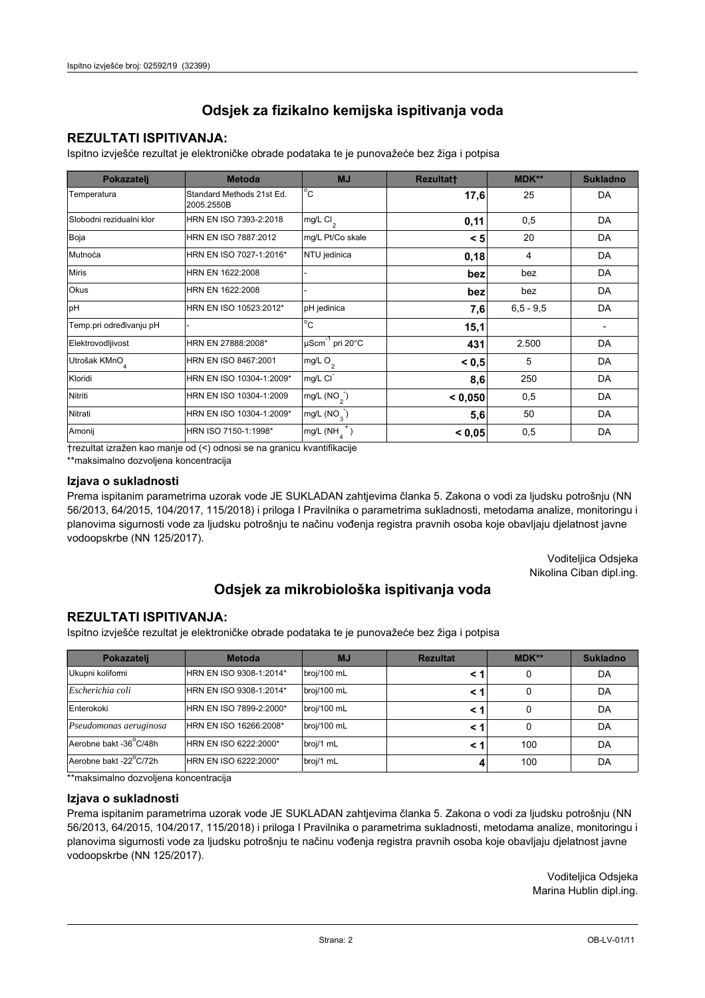# **REZULTATI ISPITIVANJA:**

Ispitno izviešće rezultat je elektroničke obrade podataka te je punovažeće bez žiga i potpisa

| Pokazatelj                | <b>Metoda</b>                           | <b>MJ</b>                   | <b>Rezultatt</b> | MDK**         | <b>Sukladno</b> |
|---------------------------|-----------------------------------------|-----------------------------|------------------|---------------|-----------------|
| Temperatura               | Standard Methods 21st Ed.<br>2005.2550B | $^{\circ}$ C                | 17,6             | 25            | DA              |
| Slobodni rezidualni klor  | HRN EN ISO 7393-2:2018                  | $mg/L$ Cl <sub>2</sub>      | 0,11             | 0,5           | DA              |
| Boja                      | HRN EN ISO 7887:2012                    | mg/L Pt/Co skale            | < 5              | 20            | DA              |
| Mutnoća                   | HRN EN ISO 7027-1:2016*                 | NTU jedinica                | 0,18             | 4             | DA              |
| <b>Miris</b>              | HRN EN 1622:2008                        |                             | bez              | bez           | DA              |
| <b>Okus</b>               | HRN EN 1622:2008                        |                             | bez              | bez           | DA              |
| pH                        | HRN EN ISO 10523:2012*                  | pH jedinica                 | 7,6              | $6, 5 - 9, 5$ | DA              |
| Temp.pri određivanju pH   |                                         | $\overline{C}$              | 15,1             |               |                 |
| Elektrovodljivost         | HRN EN 27888:2008*                      | µScm <sup>-1</sup> pri 20°C | 431              | 2.500         | DA              |
| Utrošak KMnO <sub>4</sub> | HRN EN ISO 8467:2001                    | mg/L O <sub>2</sub>         | < 0, 5           | 5             | DA              |
| Kloridi                   | HRN EN ISO 10304-1:2009*                | mg/L CI                     | 8,6              | 250           | DA              |
| Nitriti                   | HRN EN ISO 10304-1:2009                 | mg/L $(NO2)$                | < 0,050          | 0,5           | DA              |
| Nitrati                   | HRN EN ISO 10304-1:2009*                | mg/L $(NO_2)$               | 5,6              | 50            | DA              |
| Amonij                    | HRN ISO 7150-1:1998*                    | mg/L (NH                    | < 0,05           | 0,5           | DA              |

trezultat izražen kao manje od (<) odnosi se na granicu kvantifikacije

\*\*maksimalno dozvoljena koncentracija

#### Izjava o sukladnosti

Prema ispitanim parametrima uzorak vode JE SUKLADAN zahtievima članka 5. Zakona o vodi za ljudsku potrošnju (NN 56/2013, 64/2015, 104/2017, 115/2018) i priloga I Pravilnika o parametrima sukladnosti, metodama analize, monitoringu i planovima sigurnosti vode za ljudsku potrošnju te načinu vođenja registra pravnih osoba koje obavljaju djelatnost javne vodoopskrbe (NN 125/2017).

> Voditeljica Odsjeka Nikolina Ciban dipl.ing.

# Odsjek za mikrobiološka ispitivanja voda

# **REZULTATI ISPITIVANJA:**

Ispitno izvješće rezultat je elektroničke obrade podataka te je punovažeće bez žiga i potpisa

| Pokazatelj             | <b>Metoda</b>           | <b>MJ</b>   | <b>Rezultat</b> | $MDK**$ | <b>Sukladno</b> |
|------------------------|-------------------------|-------------|-----------------|---------|-----------------|
| Ukupni kolifomi        | HRN EN ISO 9308-1:2014* | broj/100 mL |                 | 0       | DA              |
| Escherichia coli       | HRN EN ISO 9308-1:2014* | broj/100 mL |                 | 0       | DA              |
| Enterokoki             | HRN EN ISO 7899-2:2000* | broj/100 mL |                 | 0       | DA              |
| Pseudomonas aeruginosa | HRN EN ISO 16266:2008*  | broj/100 mL | < 1             | 0       | DA              |
| Aerobne bakt -36 C/48h | HRN EN ISO 6222:2000*   | broj/1 mL   |                 | 100     | DA              |
| Aerobne bakt -22°C/72h | HRN EN ISO 6222:2000*   | broj/1 mL   |                 | 100     | DA              |

\*\*maksimalno dozvoljena koncentracija

#### Izjava o sukladnosti

Prema ispitanim parametrima uzorak vode JE SUKLADAN zahtjevima članka 5. Zakona o vodi za ljudsku potrošnju (NN 56/2013, 64/2015, 104/2017, 115/2018) i priloga I Pravilnika o parametrima sukladnosti, metodama analize, monitoringu i planovima sigurnosti vode za ljudsku potrošnju te načinu vođenja registra pravnih osoba koje obavljaju djelatnost javne vodoopskrbe (NN 125/2017).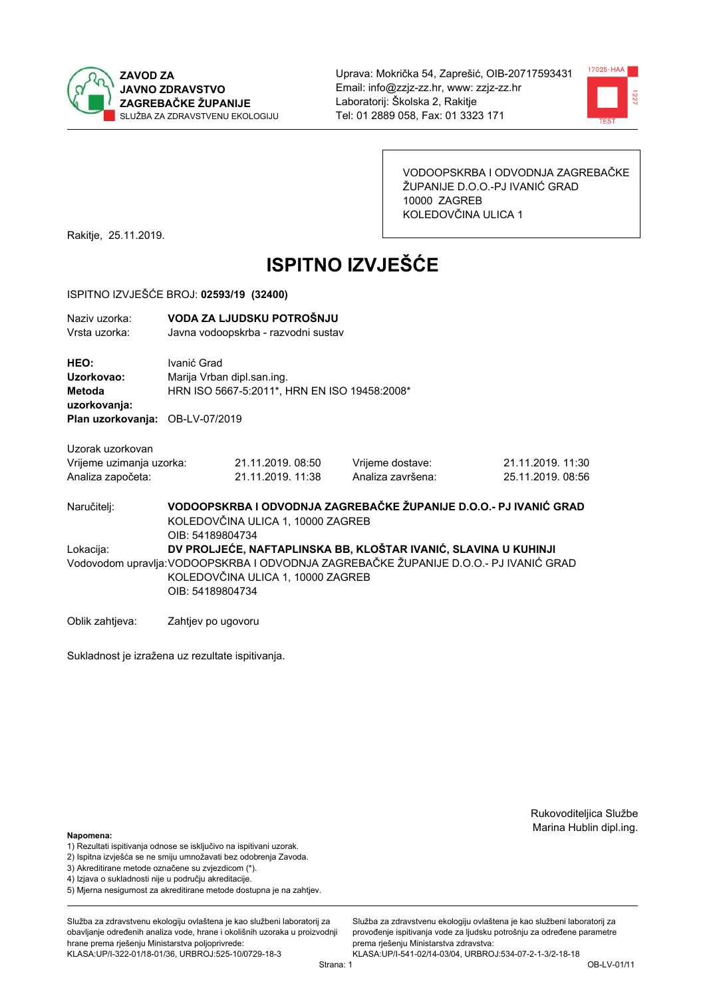



VODOOPSKRBA I ODVODNJA ZAGREBAČKE ŽUPANIJE D.O.O.-PJ IVANIĆ GRAD 10000 ZAGREB KOLEDOVČINA ULICA 1

Rakitje, 25.11.2019.

# **ISPITNO IZVJEŠĆE**

### ISPITNO IZVJEŠĆE BROJ: 02593/19 (32400)

| Naziv uzorka:<br>Vrsta uzorka:               |                    | VODA ZA LJUDSKU POTROŠNJU<br>Javna vodoopskrba - razvodni sustav                                                                                                                                                  |                                                                   |                   |  |  |
|----------------------------------------------|--------------------|-------------------------------------------------------------------------------------------------------------------------------------------------------------------------------------------------------------------|-------------------------------------------------------------------|-------------------|--|--|
| HEO:<br>Uzorkovao:<br>Metoda<br>uzorkovanja: | Ivanić Grad        | Marija Vrban dipl.san.ing.<br>HRN ISO 5667-5:2011*, HRN EN ISO 19458:2008*                                                                                                                                        |                                                                   |                   |  |  |
| Plan uzorkovanja: OB-LV-07/2019              |                    |                                                                                                                                                                                                                   |                                                                   |                   |  |  |
| Uzorak uzorkovan                             |                    |                                                                                                                                                                                                                   |                                                                   |                   |  |  |
| Vrijeme uzimanja uzorka:                     |                    | 21.11.2019. 08:50                                                                                                                                                                                                 | Vrijeme dostave:                                                  | 21.11.2019. 11:30 |  |  |
| Analiza započeta:                            |                    | 21.11.2019. 11:38                                                                                                                                                                                                 | Analiza završena:                                                 | 25.11.2019. 08:56 |  |  |
| Naručitelj:                                  | OIB: 54189804734   | KOLEDOVČINA ULICA 1, 10000 ZAGREB                                                                                                                                                                                 | VODOOPSKRBA I ODVODNJA ZAGREBAČKE ŽUPANIJE D.O.O.- PJ IVANIĆ GRAD |                   |  |  |
| Lokacija:                                    |                    | DV PROLJEĆE, NAFTAPLINSKA BB, KLOŠTAR IVANIĆ, SLAVINA U KUHINJI<br>Vodovodom upravlja: VODOOPSKRBA I ODVODNJA ZAGREBAČKE ŽUPANIJE D.O.O.- PJ IVANIĆ GRAD<br>KOLEDOVČINA ULICA 1, 10000 ZAGREB<br>OIB: 54189804734 |                                                                   |                   |  |  |
| Oblik zahtieva:                              | Zahtjev po ugovoru |                                                                                                                                                                                                                   |                                                                   |                   |  |  |

Sukladnost je izražena uz rezultate ispitivanja.

Rukovoditeljica Službe Marina Hublin dipl.ing.

Služba za zdravstvenu ekologiju ovlaštena je kao službeni laboratorij za

provođenie ispitivania vode za liudsku potrošniu za određene parametre

prema rješenju Ministarstva zdravstva:

#### Napomena:

- 1) Rezultati ispitivanja odnose se isključivo na ispitivani uzorak.
- 2) Ispitna izvješća se ne smiju umnožavati bez odobrenja Zavoda.
- 3) Akreditirane metode označene su zvjezdicom (\*).
- 4) Iziava o sukladnosti nije u području akreditacije.
- 5) Mjerna nesigurnost za akreditirane metode dostupna je na zahtjev.

Služba za zdravstvenu ekologiju ovlaštena je kao službeni laboratorij za obavlianie određenih analiza vode, hrane i okolišnih uzoraka u proizvodniji hrane prema rješenju Ministarstva poljoprivrede: KLASA:UP/I-322-01/18-01/36, URBROJ:525-10/0729-18-3

KLASA:UP/I-541-02/14-03/04, URBROJ:534-07-2-1-3/2-18-18 Strana: 1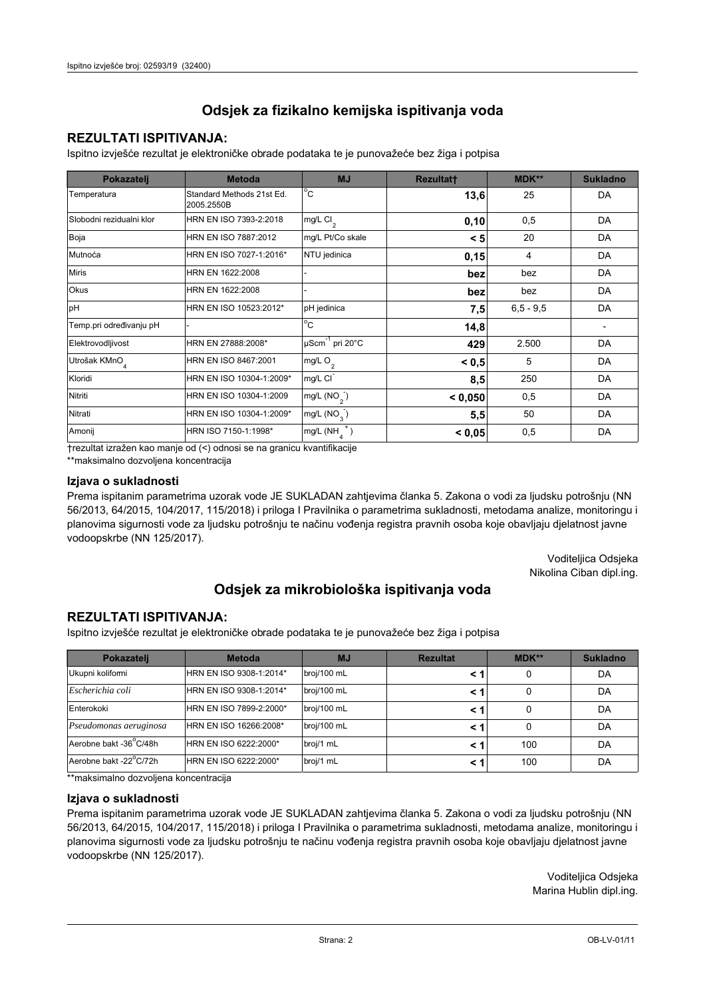# **REZULTATI ISPITIVANJA:**

Ispitno izviešće rezultat je elektroničke obrade podataka te je punovažeće bez žiga i potpisa

| Pokazatelj                | <b>Metoda</b>                           | <b>MJ</b>                   | <b>Rezultatt</b> | MDK**         | <b>Sukladno</b> |
|---------------------------|-----------------------------------------|-----------------------------|------------------|---------------|-----------------|
| Temperatura               | Standard Methods 21st Ed.<br>2005.2550B | $^{\circ}$ C                | 13,6             | 25            | DA              |
| Slobodni rezidualni klor  | HRN EN ISO 7393-2:2018                  | $mg/L$ Cl <sub>2</sub>      | 0,10             | 0,5           | DA              |
| Boja                      | HRN EN ISO 7887:2012                    | mg/L Pt/Co skale            | < 5              | 20            | DA              |
| Mutnoća                   | HRN EN ISO 7027-1:2016*                 | NTU jedinica                | 0,15             | 4             | DA              |
| <b>Miris</b>              | HRN EN 1622:2008                        |                             | bez              | bez           | DA              |
| <b>Okus</b>               | HRN EN 1622:2008                        |                             | bez              | bez           | DA              |
| pH                        | HRN EN ISO 10523:2012*                  | pH jedinica                 | 7,5              | $6, 5 - 9, 5$ | DA              |
| Temp.pri određivanju pH   |                                         | $\overline{C}$              | 14,8             |               |                 |
| Elektrovodljivost         | HRN EN 27888:2008*                      | µScm <sup>-1</sup> pri 20°C | 429              | 2.500         | DA              |
| Utrošak KMnO <sub>4</sub> | HRN EN ISO 8467:2001                    | mg/L O <sub>2</sub>         | < 0, 5           | 5             | DA              |
| Kloridi                   | HRN EN ISO 10304-1:2009*                | mg/L CI                     | 8,5              | 250           | DA              |
| Nitriti                   | HRN EN ISO 10304-1:2009                 | mg/L $(NO2)$                | < 0,050          | 0,5           | DA              |
| Nitrati                   | HRN EN ISO 10304-1:2009*                | mg/L (NO <sub>3</sub> )     | 5,5              | 50            | DA              |
| Amonij                    | HRN ISO 7150-1:1998*                    | mg/L (NH                    | < 0,05           | 0,5           | DA              |

trezultat izražen kao manje od (<) odnosi se na granicu kvantifikacije

\*\*maksimalno dozvoljena koncentracija

#### Izjava o sukladnosti

Prema ispitanim parametrima uzorak vode JE SUKLADAN zahtievima članka 5. Zakona o vodi za ljudsku potrošnju (NN 56/2013, 64/2015, 104/2017, 115/2018) i priloga I Pravilnika o parametrima sukladnosti, metodama analize, monitoringu i planovima sigurnosti vode za ljudsku potrošnju te načinu vođenja registra pravnih osoba koje obavljaju djelatnost javne vodoopskrbe (NN 125/2017).

> Voditeljica Odsjeka Nikolina Ciban dipl.ing.

# Odsjek za mikrobiološka ispitivanja voda

# **REZULTATI ISPITIVANJA:**

Ispitno izvješće rezultat je elektroničke obrade podataka te je punovažeće bez žiga i potpisa

| Pokazatelj             | <b>Metoda</b>           | <b>MJ</b>   | <b>Rezultat</b> | $MDK**$ | <b>Sukladno</b> |
|------------------------|-------------------------|-------------|-----------------|---------|-----------------|
| Ukupni kolifomi        | HRN EN ISO 9308-1:2014* | broj/100 mL |                 | 0       | DA              |
| Escherichia coli       | HRN EN ISO 9308-1:2014* | broj/100 mL |                 | 0       | DA              |
| Enterokoki             | HRN EN ISO 7899-2:2000* | broj/100 mL |                 | 0       | DA              |
| Pseudomonas aeruginosa | HRN EN ISO 16266:2008*  | broj/100 mL | < 1             | 0       | DA              |
| Aerobne bakt -36 C/48h | HRN EN ISO 6222:2000*   | broj/1 mL   |                 | 100     | DA              |
| Aerobne bakt -22°C/72h | HRN EN ISO 6222:2000*   | broj/1 mL   |                 | 100     | DA              |

\*\*maksimalno dozvoljena koncentracija

## Izjava o sukladnosti

Prema ispitanim parametrima uzorak vode JE SUKLADAN zahtjevima članka 5. Zakona o vodi za ljudsku potrošnju (NN 56/2013, 64/2015, 104/2017, 115/2018) i priloga I Pravilnika o parametrima sukladnosti, metodama analize, monitoringu i planovima sigurnosti vode za ljudsku potrošnju te načinu vođenja registra pravnih osoba koje obavljaju djelatnost javne vodoopskrbe (NN 125/2017).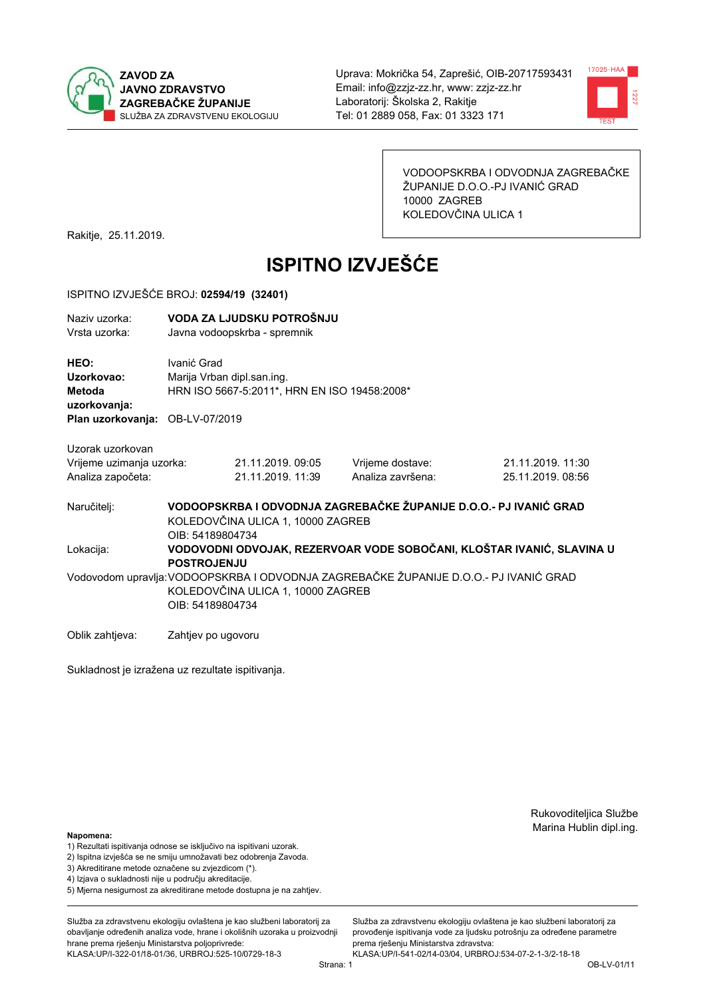



VODOOPSKRBA I ODVODNJA ZAGREBAČKE ŽUPANIJE D.O.O.-PJ IVANIĆ GRAD 10000 ZAGREB KOLEDOVČINA ULICA 1

Rakitje, 25.11.2019.

# **ISPITNO IZVJEŠĆE**

## ISPITNO IZVJEŠĆE BROJ: 02594/19 (32401)

| Naziv uzorka:<br>Vrsta uzorka:                                    |                    | VODA ZA LJUDSKU POTROŠNJU<br>Javna vodoopskrba - spremnik                  |                                                                                       |                                                                       |  |  |
|-------------------------------------------------------------------|--------------------|----------------------------------------------------------------------------|---------------------------------------------------------------------------------------|-----------------------------------------------------------------------|--|--|
| HEO:<br>Uzorkovao:<br>Metoda<br>uzorkovanja:                      | Ivanić Grad        | Marija Vrban dipl.san.ing.<br>HRN ISO 5667-5:2011*, HRN EN ISO 19458:2008* |                                                                                       |                                                                       |  |  |
| Plan uzorkovanja: OB-LV-07/2019                                   |                    |                                                                            |                                                                                       |                                                                       |  |  |
| Uzorak uzorkovan<br>Vrijeme uzimanja uzorka:<br>Analiza započeta: |                    | 21.11.2019.09:05<br>21.11.2019. 11:39                                      | Vrijeme dostave:<br>Analiza završena:                                                 | 21.11.2019. 11:30<br>25.11.2019.08:56                                 |  |  |
| Naručitelj:                                                       | OIB: 54189804734   | KOLEDOVČINA ULICA 1, 10000 ZAGREB                                          | VODOOPSKRBA I ODVODNJA ZAGREBAČKE ŽUPANIJE D.O.O.- PJ IVANIĆ GRAD                     |                                                                       |  |  |
| Lokacija:                                                         | <b>POSTROJENJU</b> |                                                                            |                                                                                       | VODOVODNI ODVOJAK, REZERVOAR VODE SOBOČANI, KLOŠTAR IVANIĆ, SLAVINA U |  |  |
|                                                                   | OIB: 54189804734   | KOLEDOVČINA ULICA 1, 10000 ZAGREB                                          | Vodovodom upravlja: VODOOPSKRBA I ODVODNJA ZAGREBAČKE ŽUPANIJE D.O.O.- PJ IVANIĆ GRAD |                                                                       |  |  |
| Oblik zahtjeva:                                                   | Zahtjev po ugovoru |                                                                            |                                                                                       |                                                                       |  |  |

Sukladnost je izražena uz rezultate ispitivanja.

Rukovoditeljica Službe Marina Hublin dipl.ing.

## Napomena:

- 1) Rezultati ispitivanja odnose se isključivo na ispitivani uzorak.
- 2) Ispitna izvješća se ne smiju umnožavati bez odobrenja Zavoda.

3) Akreditirane metode označene su zvjezdicom (\*).

- 4) Iziava o sukladnosti nije u području akreditacije.
- 5) Mjerna nesigurnost za akreditirane metode dostupna je na zahtjev.

Služba za zdravstvenu ekologiju ovlaštena je kao službeni laboratorij za obavlianie određenih analiza vode, hrane i okolišnih uzoraka u proizvodniji hrane prema rješenju Ministarstva poljoprivrede: KLASA:UP/I-322-01/18-01/36, URBROJ:525-10/0729-18-3

Služba za zdravstvenu ekologiju ovlaštena je kao službeni laboratorij za provođenie ispitivania vode za liudsku potrošniu za određene parametre prema rješenju Ministarstva zdravstva: KLASA:UP/I-541-02/14-03/04, URBROJ:534-07-2-1-3/2-18-18

Strana: 1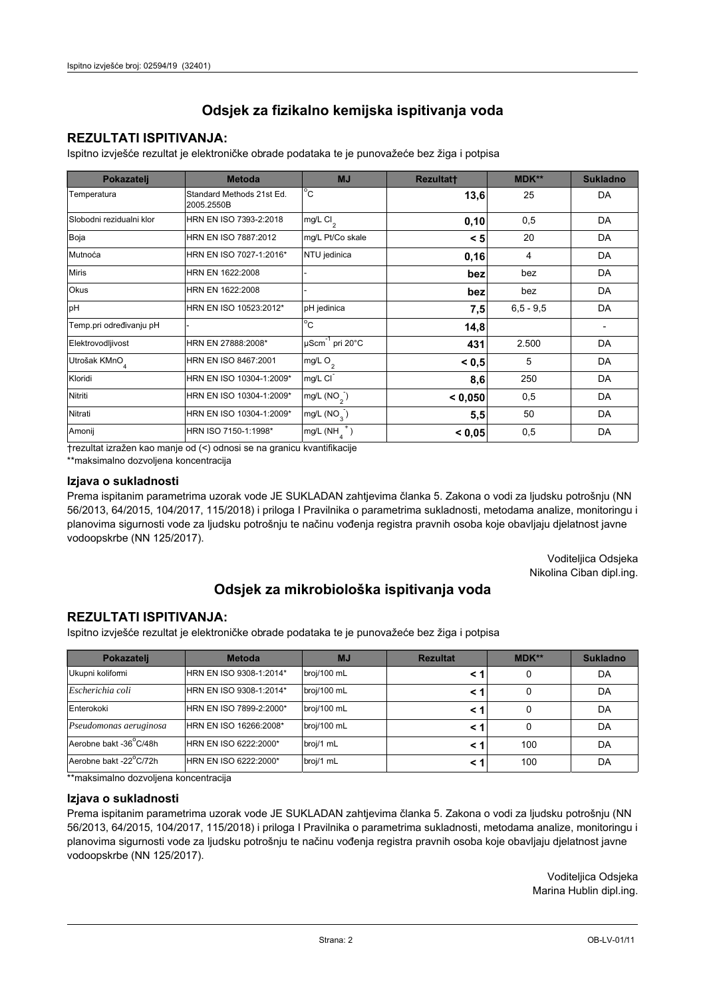# **REZULTATI ISPITIVANJA:**

Ispitno izviešće rezultat je elektroničke obrade podataka te je punovažeće bez žiga i potpisa

| Pokazatelj                | <b>Metoda</b>                           | <b>MJ</b>                   | <b>Rezultatt</b> | MDK**         | <b>Sukladno</b> |
|---------------------------|-----------------------------------------|-----------------------------|------------------|---------------|-----------------|
| Temperatura               | Standard Methods 21st Ed.<br>2005.2550B | $^{\circ}$ C                | 13,6             | 25            | DA              |
| Slobodni rezidualni klor  | HRN EN ISO 7393-2:2018                  | $mg/L$ Cl <sub>2</sub>      | 0,10             | 0,5           | DA              |
| Boja                      | HRN EN ISO 7887:2012                    | mg/L Pt/Co skale            | < 5              | 20            | DA              |
| Mutnoća                   | HRN EN ISO 7027-1:2016*                 | NTU jedinica                | 0,16             | 4             | DA              |
| <b>Miris</b>              | HRN EN 1622:2008                        |                             | bez              | bez           | DA              |
| <b>Okus</b>               | HRN EN 1622:2008                        |                             | bez              | bez           | DA              |
| pH                        | HRN EN ISO 10523:2012*                  | pH jedinica                 | 7,5              | $6, 5 - 9, 5$ | DA              |
| Temp.pri određivanju pH   |                                         | $\overline{C}$              | 14,8             |               |                 |
| Elektrovodljivost         | HRN EN 27888:2008*                      | µScm <sup>-1</sup> pri 20°C | 431              | 2.500         | DA              |
| Utrošak KMnO <sub>4</sub> | HRN EN ISO 8467:2001                    | mg/L O <sub>2</sub>         | < 0, 5           | 5             | DA              |
| Kloridi                   | HRN EN ISO 10304-1:2009*                | mg/L CI                     | 8,6              | 250           | DA              |
| Nitriti                   | HRN EN ISO 10304-1:2009*                | mg/L $(NO2)$                | < 0,050          | 0,5           | DA              |
| Nitrati                   | HRN EN ISO 10304-1:2009*                | mg/L (NO <sub>3</sub> )     | 5,5              | 50            | DA              |
| Amonij                    | HRN ISO 7150-1:1998*                    | mg/L (NH                    | < 0,05           | 0,5           | DA              |

trezultat izražen kao manje od (<) odnosi se na granicu kvantifikacije

\*\*maksimalno dozvoljena koncentracija

## Izjava o sukladnosti

Prema ispitanim parametrima uzorak vode JE SUKLADAN zahtievima članka 5. Zakona o vodi za ljudsku potrošnju (NN 56/2013, 64/2015, 104/2017, 115/2018) i priloga I Pravilnika o parametrima sukladnosti, metodama analize, monitoringu i planovima sigurnosti vode za ljudsku potrošnju te načinu vođenja registra pravnih osoba koje obavljaju djelatnost javne vodoopskrbe (NN 125/2017).

> Voditeljica Odsjeka Nikolina Ciban dipl.ing.

# Odsjek za mikrobiološka ispitivanja voda

# **REZULTATI ISPITIVANJA:**

Ispitno izvješće rezultat je elektroničke obrade podataka te je punovažeće bez žiga i potpisa

| Pokazatelj             | <b>Metoda</b>           | <b>MJ</b>   | <b>Rezultat</b> | <b>MDK**</b> | <b>Sukladno</b> |
|------------------------|-------------------------|-------------|-----------------|--------------|-----------------|
| Ukupni kolifomi        | HRN EN ISO 9308-1:2014* | broj/100 mL |                 | 0            | DA              |
| Escherichia coli       | HRN EN ISO 9308-1:2014* | broj/100 mL | < 1             | 0            | DA              |
| Enterokoki             | HRN EN ISO 7899-2:2000* | broj/100 mL | < '             |              | DA              |
| Pseudomonas aeruginosa | HRN EN ISO 16266:2008*  | broj/100 mL | < 1             | 0            | DA              |
| Aerobne bakt -36 C/48h | HRN EN ISO 6222:2000*   | broj/1 mL   | < '             | 100          | DA              |
| Aerobne bakt -22°C/72h | HRN EN ISO 6222:2000*   | broj/1 mL   | < 1             | 100          | DA              |

\*\*maksimalno dozvoljena koncentracija

## Izjava o sukladnosti

Prema ispitanim parametrima uzorak vode JE SUKLADAN zahtjevima članka 5. Zakona o vodi za ljudsku potrošnju (NN 56/2013, 64/2015, 104/2017, 115/2018) i priloga I Pravilnika o parametrima sukladnosti, metodama analize, monitoringu i planovima sigurnosti vode za ljudsku potrošnju te načinu vođenja registra pravnih osoba koje obavljaju djelatnost javne vodoopskrbe (NN 125/2017).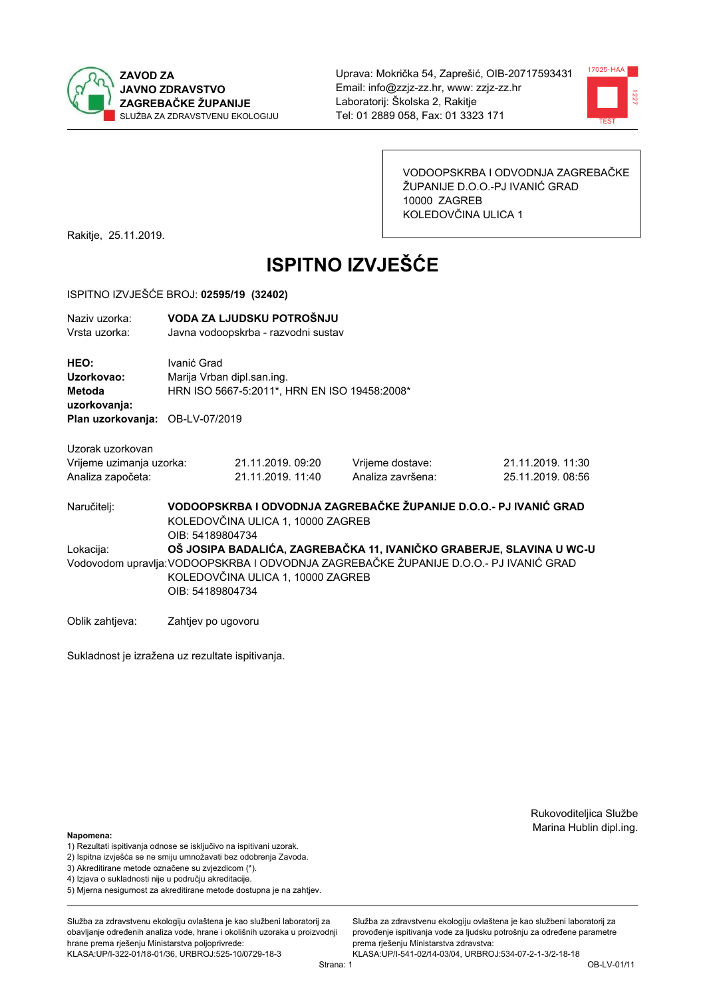



VODOOPSKRBA I ODVODNJA ZAGREBAČKE ŽUPANIJE D.O.O.-PJ IVANIĆ GRAD 10000 ZAGREB KOLEDOVČINA ULICA 1

Rakitje, 25.11.2019.

# **ISPITNO IZVJEŠĆE**

### ISPITNO IZVJEŠĆE BROJ: 02595/19 (32402)

| Naziv uzorka:<br>Vrsta uzorka:                                                  |                                                                                                                                                                                                                        | VODA ZA LJUDSKU POTROŠNJU<br>Javna vodoopskrba - razvodni sustav           |                                                                   |                                       |  |  |
|---------------------------------------------------------------------------------|------------------------------------------------------------------------------------------------------------------------------------------------------------------------------------------------------------------------|----------------------------------------------------------------------------|-------------------------------------------------------------------|---------------------------------------|--|--|
| HEO:<br>Uzorkovao:<br>Metoda<br>uzorkovanja:<br>Plan uzorkovanja: OB-LV-07/2019 | Ivanić Grad                                                                                                                                                                                                            | Marija Vrban dipl.san.ing.<br>HRN ISO 5667-5:2011*, HRN EN ISO 19458:2008* |                                                                   |                                       |  |  |
|                                                                                 |                                                                                                                                                                                                                        |                                                                            |                                                                   |                                       |  |  |
| Uzorak uzorkovan                                                                |                                                                                                                                                                                                                        |                                                                            |                                                                   |                                       |  |  |
| Vrijeme uzimanja uzorka:<br>Analiza započeta:                                   |                                                                                                                                                                                                                        | 21.11.2019.09:20<br>21.11.2019. 11:40                                      | Vrijeme dostave:<br>Analiza završena:                             | 21.11.2019. 11:30<br>25.11.2019.08:56 |  |  |
| Naručitelj:                                                                     | OIB: 54189804734                                                                                                                                                                                                       | KOLEDOVČINA ULICA 1, 10000 ZAGREB                                          | VODOOPSKRBA I ODVODNJA ZAGREBAČKE ŽUPANIJE D.O.O.- PJ IVANIĆ GRAD |                                       |  |  |
| Lokacija:                                                                       | OŠ JOSIPA BADALIĆA, ZAGREBAČKA 11, IVANIČKO GRABERJE, SLAVINA U WC-U<br>Vodovodom upravlja: VODOOPSKRBA I ODVODNJA ZAGREBAČKE ŽUPANIJE D.O.O.- PJ IVANIĆ GRAD<br>KOLEDOVČINA ULICA 1, 10000 ZAGREB<br>OIB: 54189804734 |                                                                            |                                                                   |                                       |  |  |
| Oblik zahtjeva:                                                                 | Zahtjev po ugovoru                                                                                                                                                                                                     |                                                                            |                                                                   |                                       |  |  |

Sukladnost je izražena uz rezultate ispitivanja.

Rukovoditeljica Službe Marina Hublin dipl.ing.

#### Napomena:

- 1) Rezultati ispitivanja odnose se isključivo na ispitivani uzorak.
- 2) Ispitna izvješća se ne smiju umnožavati bez odobrenja Zavoda.
- 3) Akreditirane metode označene su zvjezdicom (\*).
- 4) Iziava o sukladnosti nije u području akreditacije.
- 5) Mjerna nesigurnost za akreditirane metode dostupna je na zahtjev.

Služba za zdravstvenu ekologiju ovlaštena je kao službeni laboratorij za obavlianie određenih analiza vode, hrane i okolišnih uzoraka u proizvodniji hrane prema rješenju Ministarstva poljoprivrede: KLASA:UP/I-322-01/18-01/36, URBROJ:525-10/0729-18-3

Služba za zdravstvenu ekologiju ovlaštena je kao službeni laboratorij za provođenie ispitivania vode za liudsku potrošniu za određene parametre prema rješenju Ministarstva zdravstva: KLASA:UP/I-541-02/14-03/04, URBROJ:534-07-2-1-3/2-18-18

Strana: 1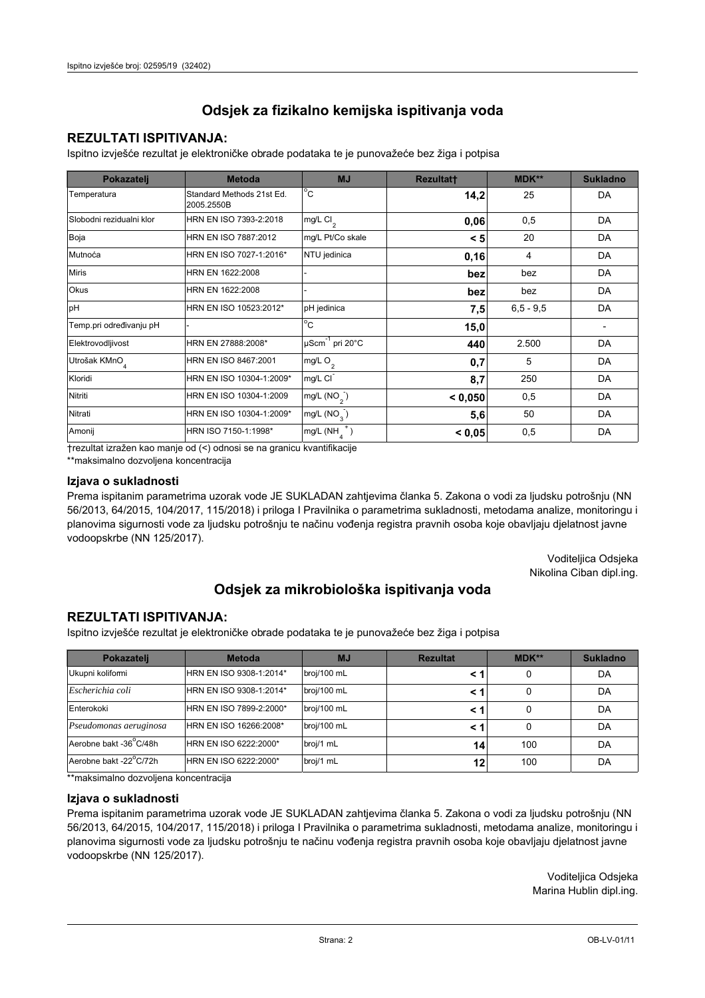# **REZULTATI ISPITIVANJA:**

Ispitno izviešće rezultat je elektroničke obrade podataka te je punovažeće bez žiga i potpisa

| Pokazatelj                | <b>Metoda</b>                           | <b>MJ</b>                   | <b>Rezultatt</b> | MDK**         | <b>Sukladno</b> |
|---------------------------|-----------------------------------------|-----------------------------|------------------|---------------|-----------------|
| Temperatura               | Standard Methods 21st Ed.<br>2005.2550B | $^{\circ}$ C                | 14,2             | 25            | DA              |
| Slobodni rezidualni klor  | HRN EN ISO 7393-2:2018                  | $mg/L$ Cl <sub>2</sub>      | 0,06             | 0,5           | DA              |
| Boja                      | HRN EN ISO 7887:2012                    | mg/L Pt/Co skale            | < 5              | 20            | DA              |
| Mutnoća                   | HRN EN ISO 7027-1:2016*                 | NTU jedinica                | 0,16             | 4             | DA              |
| <b>Miris</b>              | HRN EN 1622:2008                        |                             | bez              | bez           | DA              |
| <b>Okus</b>               | HRN EN 1622:2008                        |                             | bez              | bez           | DA              |
| pH                        | HRN EN ISO 10523:2012*                  | pH jedinica                 | 7,5              | $6, 5 - 9, 5$ | DA              |
| Temp.pri određivanju pH   |                                         | $\overline{C}$              | 15,0             |               |                 |
| Elektrovodljivost         | HRN EN 27888:2008*                      | µScm <sup>-1</sup> pri 20°C | 440              | 2.500         | DA              |
| Utrošak KMnO <sub>4</sub> | HRN EN ISO 8467:2001                    | mg/L O <sub>2</sub>         | 0,7              | 5             | DA              |
| Kloridi                   | HRN EN ISO 10304-1:2009*                | mg/L CI                     | 8,7              | 250           | DA              |
| Nitriti                   | HRN EN ISO 10304-1:2009                 | mg/L $(NO2)$                | < 0,050          | 0,5           | DA              |
| Nitrati                   | HRN EN ISO 10304-1:2009*                | mg/L (NO <sub>3</sub> )     | 5,6              | 50            | DA              |
| Amonij                    | HRN ISO 7150-1:1998*                    | mg/L (NH                    | < 0,05           | 0,5           | DA              |

trezultat izražen kao manje od (<) odnosi se na granicu kvantifikacije

\*\*maksimalno dozvoljena koncentracija

## Izjava o sukladnosti

Prema ispitanim parametrima uzorak vode JE SUKLADAN zahtievima članka 5. Zakona o vodi za ljudsku potrošnju (NN 56/2013, 64/2015, 104/2017, 115/2018) i priloga I Pravilnika o parametrima sukladnosti, metodama analize, monitoringu i planovima sigurnosti vode za ljudsku potrošnju te načinu vođenja registra pravnih osoba koje obavljaju djelatnost javne vodoopskrbe (NN 125/2017).

> Voditeljica Odsjeka Nikolina Ciban dipl.ing.

# Odsjek za mikrobiološka ispitivanja voda

# **REZULTATI ISPITIVANJA:**

Ispitno izvješće rezultat je elektroničke obrade podataka te je punovažeće bez žiga i potpisa

| Pokazatelj             | <b>Metoda</b>           | <b>MJ</b>   | <b>Rezultat</b> | <b>MDK**</b> | <b>Sukladno</b> |
|------------------------|-------------------------|-------------|-----------------|--------------|-----------------|
| Ukupni kolifomi        | HRN EN ISO 9308-1:2014* | broj/100 mL |                 | 0            | DA              |
| Escherichia coli       | HRN EN ISO 9308-1:2014* | broj/100 mL | < 1             | 0            | DA              |
| Enterokoki             | HRN EN ISO 7899-2:2000* | broj/100 mL | < '             | 0            | DA              |
| Pseudomonas aeruginosa | HRN EN ISO 16266:2008*  | broj/100 mL | < 1             | 0            | DA              |
| Aerobne bakt -36 C/48h | HRN EN ISO 6222:2000*   | broj/1 mL   | 14              | 100          | DA              |
| Aerobne bakt -22°C/72h | HRN EN ISO 6222:2000*   | broj/1 mL   | 12              | 100          | DA              |

\*\*maksimalno dozvoljena koncentracija

## Izjava o sukladnosti

Prema ispitanim parametrima uzorak vode JE SUKLADAN zahtjevima članka 5. Zakona o vodi za ljudsku potrošnju (NN 56/2013, 64/2015, 104/2017, 115/2018) i priloga I Pravilnika o parametrima sukladnosti, metodama analize, monitoringu i planovima sigurnosti vode za ljudsku potrošnju te načinu vođenja registra pravnih osoba koje obavljaju djelatnost javne vodoopskrbe (NN 125/2017).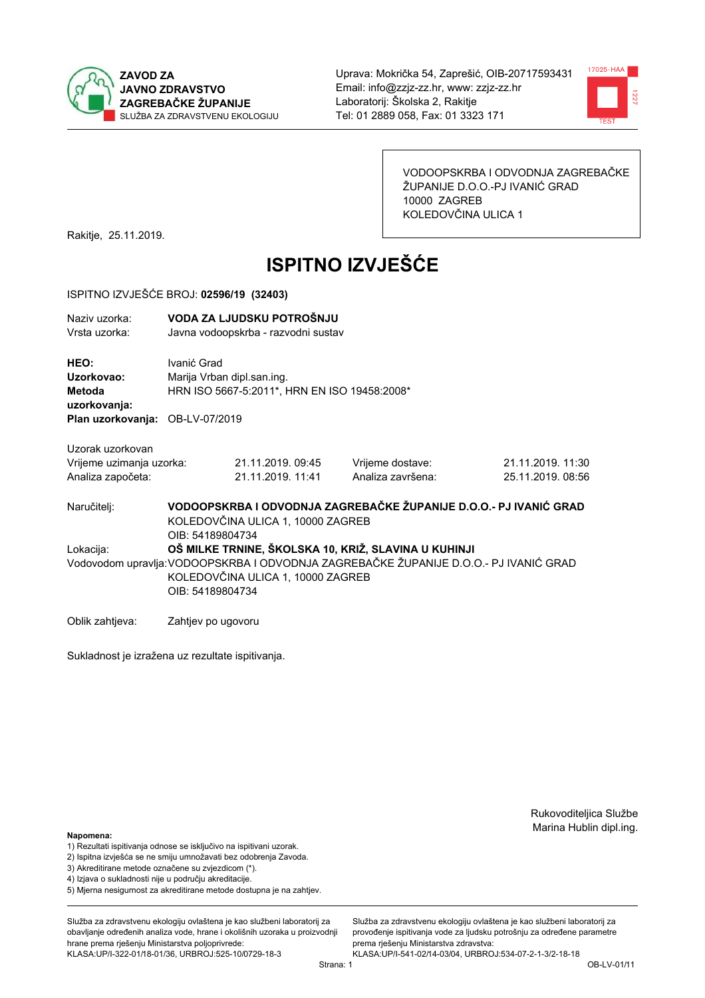



VODOOPSKRBA I ODVODNJA ZAGREBAČKE ŽUPANIJE D.O.O.-PJ IVANIĆ GRAD 10000 ZAGREB KOLEDOVČINA ULICA 1

Rakitje, 25.11.2019.

# **ISPITNO IZVJEŠĆE**

### ISPITNO IZVJEŠĆE BROJ: 02596/19 (32403)

| Naziv uzorka:<br>Vrsta uzorka:                |                                                                                                                            | VODA ZA LJUDSKU POTROŠNJU<br>Javna vodoopskrba - razvodni sustav           |                                                                                                                                               |                                        |  |  |  |
|-----------------------------------------------|----------------------------------------------------------------------------------------------------------------------------|----------------------------------------------------------------------------|-----------------------------------------------------------------------------------------------------------------------------------------------|----------------------------------------|--|--|--|
| HEO:<br>Uzorkovao:<br>Metoda<br>uzorkovanja:  | Ivanić Grad                                                                                                                | Marija Vrban dipl.san.ing.<br>HRN ISO 5667-5:2011*, HRN EN ISO 19458:2008* |                                                                                                                                               |                                        |  |  |  |
| Plan uzorkovanja: OB-LV-07/2019               |                                                                                                                            |                                                                            |                                                                                                                                               |                                        |  |  |  |
| Uzorak uzorkovan                              |                                                                                                                            |                                                                            |                                                                                                                                               |                                        |  |  |  |
| Vrijeme uzimanja uzorka:<br>Analiza započeta: |                                                                                                                            | 21.11.2019.09:45<br>21.11.2019. 11:41                                      | Vrijeme dostave:<br>Analiza završena:                                                                                                         | 21.11.2019. 11:30<br>25.11.2019. 08:56 |  |  |  |
| Naručitelj:                                   | VODOOPSKRBA I ODVODNJA ZAGREBAČKE ŽUPANIJE D.O.O.- PJ IVANIĆ GRAD<br>KOLEDOVČINA ULICA 1, 10000 ZAGREB<br>OIB: 54189804734 |                                                                            |                                                                                                                                               |                                        |  |  |  |
| Lokacija:                                     |                                                                                                                            |                                                                            | OŠ MILKE TRNINE, ŠKOLSKA 10, KRIŽ, SLAVINA U KUHINJI<br>Vodovodom upravlja: VODOOPSKRBA I ODVODNJA ZAGREBAČKE ŽUPANIJE D.O.O.- PJ IVANIĆ GRAD |                                        |  |  |  |
|                                               | OIB: 54189804734                                                                                                           | KOLEDOVČINA ULICA 1, 10000 ZAGREB                                          |                                                                                                                                               |                                        |  |  |  |
| Oblik zahtjeva:                               | Zahtjev po ugovoru                                                                                                         |                                                                            |                                                                                                                                               |                                        |  |  |  |

Sukladnost je izražena uz rezultate ispitivanja.

Rukovoditeljica Službe Marina Hublin dipl.ing.

#### Napomena:

- 1) Rezultati ispitivanja odnose se isključivo na ispitivani uzorak.
- 2) Ispitna izvješća se ne smiju umnožavati bez odobrenja Zavoda.
- 3) Akreditirane metode označene su zvjezdicom (\*).
- 4) Iziava o sukladnosti nije u području akreditacije.
- 5) Mjerna nesigurnost za akreditirane metode dostupna je na zahtjev.

Služba za zdravstvenu ekologiju ovlaštena je kao službeni laboratorij za obavlianie određenih analiza vode, hrane i okolišnih uzoraka u proizvodniji hrane prema rješenju Ministarstva poljoprivrede: KLASA:UP/I-322-01/18-01/36, URBROJ:525-10/0729-18-3

Služba za zdravstvenu ekologiju ovlaštena je kao službeni laboratorij za provođenie ispitivania vode za liudsku potrošniu za određene parametre prema rješenju Ministarstva zdravstva:

KLASA:UP/I-541-02/14-03/04, URBROJ:534-07-2-1-3/2-18-18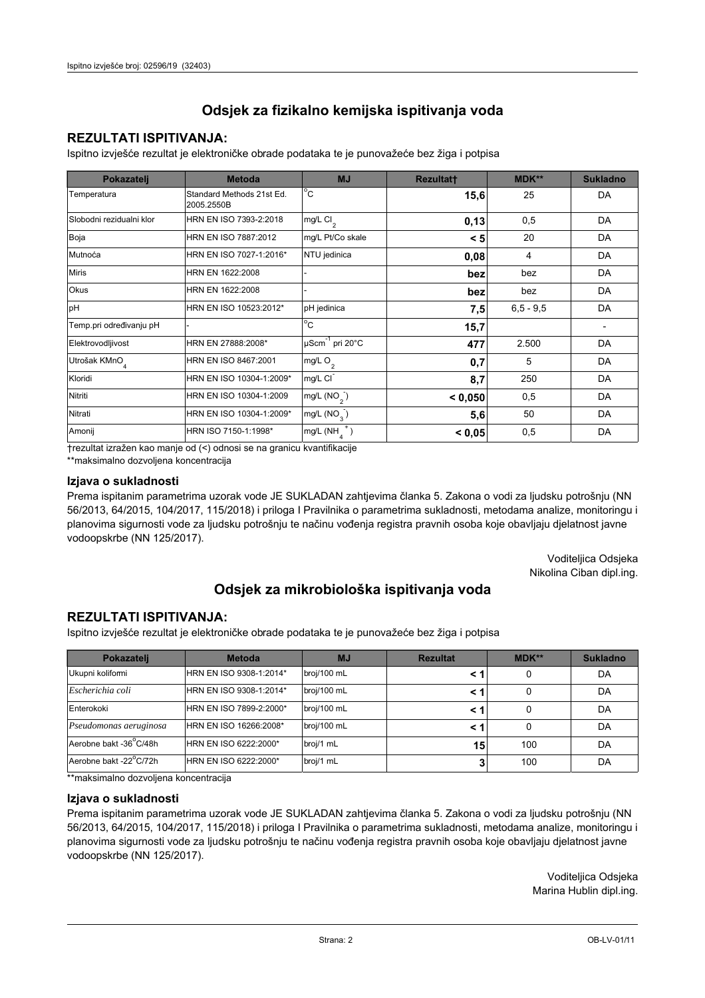# **REZULTATI ISPITIVANJA:**

Ispitno izviešće rezultat je elektroničke obrade podataka te je punovažeće bez žiga i potpisa

| Pokazatelj                | <b>Metoda</b>                           | <b>MJ</b>                   | <b>Rezultatt</b> | MDK**         | <b>Sukladno</b> |
|---------------------------|-----------------------------------------|-----------------------------|------------------|---------------|-----------------|
| Temperatura               | Standard Methods 21st Ed.<br>2005.2550B | $^{\circ}$ C                | 15,6             | 25            | DA              |
| Slobodni rezidualni klor  | HRN EN ISO 7393-2:2018                  | $mg/L$ Cl <sub>2</sub>      | 0,13             | 0,5           | DA              |
| Boja                      | HRN EN ISO 7887:2012                    | mg/L Pt/Co skale            | < 5              | 20            | DA              |
| Mutnoća                   | HRN EN ISO 7027-1:2016*                 | NTU jedinica                | 0,08             | 4             | DA              |
| <b>Miris</b>              | HRN EN 1622:2008                        |                             | bez              | bez           | DA              |
| <b>Okus</b>               | HRN EN 1622:2008                        |                             | bez              | bez           | DA              |
| pH                        | HRN EN ISO 10523:2012*                  | pH jedinica                 | 7,5              | $6, 5 - 9, 5$ | DA              |
| Temp.pri određivanju pH   |                                         | $\overline{C}$              | 15,7             |               |                 |
| Elektrovodljivost         | HRN EN 27888:2008*                      | µScm <sup>-1</sup> pri 20°C | 477              | 2.500         | DA              |
| Utrošak KMnO <sub>4</sub> | HRN EN ISO 8467:2001                    | mg/L O <sub>2</sub>         | 0,7              | 5             | DA              |
| Kloridi                   | HRN EN ISO 10304-1:2009*                | mg/L CI                     | 8,7              | 250           | DA              |
| Nitriti                   | HRN EN ISO 10304-1:2009                 | mg/L $(NO2)$                | < 0,050          | 0,5           | DA              |
| Nitrati                   | HRN EN ISO 10304-1:2009*                | mg/L (NO <sub>3</sub> )     | 5,6              | 50            | DA              |
| Amonij                    | HRN ISO 7150-1:1998*                    | mg/L (NH                    | < 0,05           | 0,5           | DA              |

trezultat izražen kao manje od (<) odnosi se na granicu kvantifikacije

\*\*maksimalno dozvoljena koncentracija

#### Izjava o sukladnosti

Prema ispitanim parametrima uzorak vode JE SUKLADAN zahtievima članka 5. Zakona o vodi za ljudsku potrošnju (NN 56/2013, 64/2015, 104/2017, 115/2018) i priloga I Pravilnika o parametrima sukladnosti, metodama analize, monitoringu i planovima sigurnosti vode za ljudsku potrošnju te načinu vođenja registra pravnih osoba koje obavljaju djelatnost javne vodoopskrbe (NN 125/2017).

> Voditeljica Odsjeka Nikolina Ciban dipl.ing.

# Odsjek za mikrobiološka ispitivanja voda

# **REZULTATI ISPITIVANJA:**

Ispitno izvješće rezultat je elektroničke obrade podataka te je punovažeće bez žiga i potpisa

| Pokazatelj             | <b>Metoda</b>           | <b>MJ</b>   | <b>Rezultat</b> | <b>MDK**</b> | <b>Sukladno</b> |
|------------------------|-------------------------|-------------|-----------------|--------------|-----------------|
| Ukupni kolifomi        | HRN EN ISO 9308-1:2014* | broj/100 mL |                 | 0            | DA              |
| Escherichia coli       | HRN EN ISO 9308-1:2014* | broj/100 mL | < 1             | 0            | DA              |
| Enterokoki             | HRN EN ISO 7899-2:2000* | broj/100 mL | < '             |              | DA              |
| Pseudomonas aeruginosa | HRN EN ISO 16266:2008*  | broj/100 mL | < 1             | 0            | DA              |
| Aerobne bakt -36 C/48h | HRN EN ISO 6222:2000*   | broj/1 mL   | 15              | 100          | DA              |
| Aerobne bakt -22°C/72h | HRN EN ISO 6222:2000*   | broj/1 mL   |                 | 100          | DA              |

\*\*maksimalno dozvoljena koncentracija

## Izjava o sukladnosti

Prema ispitanim parametrima uzorak vode JE SUKLADAN zahtjevima članka 5. Zakona o vodi za ljudsku potrošnju (NN 56/2013, 64/2015, 104/2017, 115/2018) i priloga I Pravilnika o parametrima sukladnosti, metodama analize, monitoringu i planovima sigurnosti vode za ljudsku potrošnju te načinu vođenja registra pravnih osoba koje obavljaju djelatnost javne vodoopskrbe (NN 125/2017).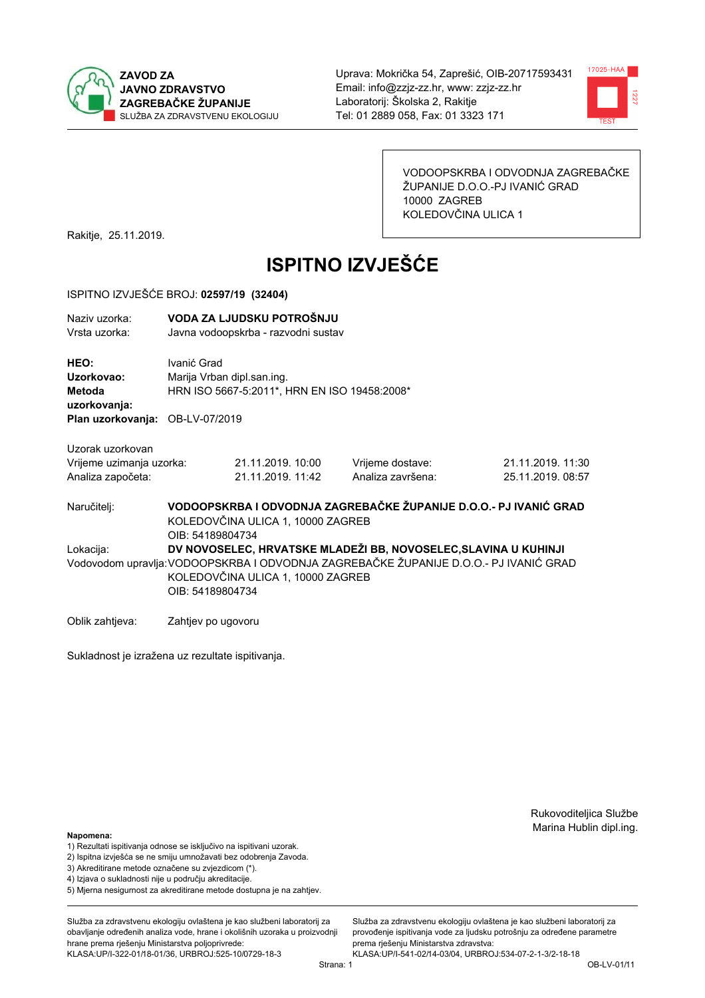



VODOOPSKRBA I ODVODNJA ZAGREBAČKE ŽUPANIJE D.O.O.-PJ IVANIĆ GRAD 10000 ZAGREB KOLEDOVČINA ULICA 1

Rakitje, 25.11.2019.

# **ISPITNO IZVJEŠĆE**

### ISPITNO IZVJEŠĆE BROJ: 02597/19 (32404)

| Naziv uzorka:<br>Vrsta uzorka:                                    |                                                                                                                            | VODA ZA LJUDSKU POTROŠNJU<br>Javna vodoopskrba - razvodni sustav           |                                                                                                                                                          |                                        |  |  |  |
|-------------------------------------------------------------------|----------------------------------------------------------------------------------------------------------------------------|----------------------------------------------------------------------------|----------------------------------------------------------------------------------------------------------------------------------------------------------|----------------------------------------|--|--|--|
| HEO:<br>Uzorkovao:<br>Metoda<br>uzorkovanja:                      | Ivanić Grad                                                                                                                | Marija Vrban dipl.san.ing.<br>HRN ISO 5667-5:2011*, HRN EN ISO 19458:2008* |                                                                                                                                                          |                                        |  |  |  |
| Plan uzorkovanja: OB-LV-07/2019                                   |                                                                                                                            |                                                                            |                                                                                                                                                          |                                        |  |  |  |
| Uzorak uzorkovan<br>Vrijeme uzimanja uzorka:<br>Analiza započeta: |                                                                                                                            | 21.11.2019. 10:00<br>21.11.2019. 11:42                                     | Vrijeme dostave:<br>Analiza završena:                                                                                                                    | 21.11.2019. 11:30<br>25.11.2019. 08:57 |  |  |  |
| Naručitelj:                                                       | VODOOPSKRBA I ODVODNJA ZAGREBAČKE ŽUPANIJE D.O.O.- PJ IVANIĆ GRAD<br>KOLEDOVČINA ULICA 1, 10000 ZAGREB<br>OIB: 54189804734 |                                                                            |                                                                                                                                                          |                                        |  |  |  |
| Lokacija:                                                         | OIB: 54189804734                                                                                                           | KOLEDOVČINA ULICA 1, 10000 ZAGREB                                          | DV NOVOSELEC, HRVATSKE MLADEŽI BB, NOVOSELEC, SLAVINA U KUHINJI<br>Vodovodom upravlja: VODOOPSKRBA I ODVODNJA ZAGREBAČKE ŽUPANIJE D.O.O.- PJ IVANIĆ GRAD |                                        |  |  |  |

Sukladnost je izražena uz rezultate ispitivanja.

Zahtjev po ugovoru

Rukovoditeljica Službe Marina Hublin dipl.ing.

#### Napomena:

Oblik zahtjeva:

- 1) Rezultati ispitivanja odnose se isključivo na ispitivani uzorak.
- 2) Ispitna izvješća se ne smiju umnožavati bez odobrenja Zavoda.
- 3) Akreditirane metode označene su zvjezdicom (\*).
- 4) Iziava o sukladnosti nije u području akreditacije.
- 5) Mjerna nesigurnost za akreditirane metode dostupna je na zahtjev.

Služba za zdravstvenu ekologiju ovlaštena je kao službeni laboratorij za obavlianie određenih analiza vode, hrane i okolišnih uzoraka u proizvodniji hrane prema rješenju Ministarstva poljoprivrede: KLASA:UP/I-322-01/18-01/36, URBROJ:525-10/0729-18-3

Služba za zdravstvenu ekologiju ovlaštena je kao službeni laboratorij za provođenie ispitivania vode za liudsku potrošniu za određene parametre prema rješenju Ministarstva zdravstva: KLASA:UP/I-541-02/14-03/04, URBROJ:534-07-2-1-3/2-18-18

Strana: 1